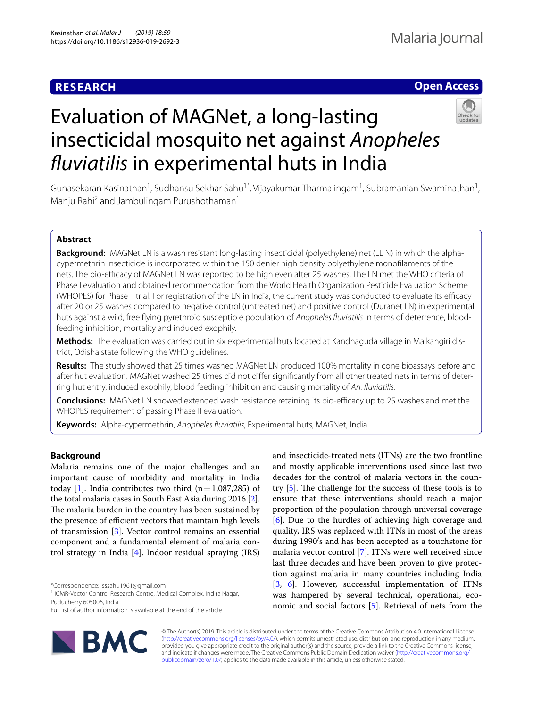# **RESEARCH**

# **Open Access**

# Evaluation of MAGNet, a long-lasting insecticidal mosquito net against *Anopheles fuviatilis* in experimental huts in India



Gunasekaran Kasinathan<sup>1</sup>, Sudhansu Sekhar Sahu<sup>1\*</sup>, Vijayakumar Tharmalingam<sup>1</sup>, Subramanian Swaminathan<sup>1</sup>, Manju Rahi<sup>2</sup> and Jambulingam Purushothaman<sup>1</sup>

# **Abstract**

**Background:** MAGNet LN is a wash resistant long-lasting insecticidal (polyethylene) net (LLIN) in which the alphacypermethrin insecticide is incorporated within the 150 denier high density polyethylene monoflaments of the nets. The bio-efficacy of MAGNet LN was reported to be high even after 25 washes. The LN met the WHO criteria of Phase I evaluation and obtained recommendation from the World Health Organization Pesticide Evaluation Scheme (WHOPES) for Phase II trial. For registration of the LN in India, the current study was conducted to evaluate its efficacy after 20 or 25 washes compared to negative control (untreated net) and positive control (Duranet LN) in experimental huts against a wild, free fying pyrethroid susceptible population of *Anopheles fuviatilis* in terms of deterrence, bloodfeeding inhibition, mortality and induced exophily.

**Methods:** The evaluation was carried out in six experimental huts located at Kandhaguda village in Malkangiri district, Odisha state following the WHO guidelines.

**Results:** The study showed that 25 times washed MAGNet LN produced 100% mortality in cone bioassays before and after hut evaluation. MAGNet washed 25 times did not difer signifcantly from all other treated nets in terms of deterring hut entry, induced exophily, blood feeding inhibition and causing mortality of *An. fuviatilis.*

**Conclusions:** MAGNet LN showed extended wash resistance retaining its bio-efficacy up to 25 washes and met the WHOPES requirement of passing Phase II evaluation.

**Keywords:** Alpha-cypermethrin, *Anopheles fuviatilis*, Experimental huts, MAGNet, India

# **Background**

Malaria remains one of the major challenges and an important cause of morbidity and mortality in India today [\[1](#page-7-0)]. India contributes two third  $(n=1,087,285)$  of the total malaria cases in South East Asia during 2016 [\[2](#page-7-1)]. The malaria burden in the country has been sustained by the presence of efficient vectors that maintain high levels of transmission [[3\]](#page-7-2). Vector control remains an essential component and a fundamental element of malaria control strategy in India [\[4\]](#page-7-3). Indoor residual spraying (IRS)

\*Correspondence: sssahu1961@gmail.com

Full list of author information is available at the end of the article



and insecticide-treated nets (ITNs) are the two frontline and mostly applicable interventions used since last two decades for the control of malaria vectors in the country  $[5]$  $[5]$ . The challenge for the success of these tools is to ensure that these interventions should reach a major proportion of the population through universal coverage [[6\]](#page-7-5). Due to the hurdles of achieving high coverage and quality, IRS was replaced with ITNs in most of the areas during 1990′s and has been accepted as a touchstone for malaria vector control [\[7](#page-7-6)]. ITNs were well received since last three decades and have been proven to give protection against malaria in many countries including India [[3,](#page-7-2) [6\]](#page-7-5). However, successful implementation of ITNs was hampered by several technical, operational, economic and social factors [[5\]](#page-7-4). Retrieval of nets from the

© The Author(s) 2019. This article is distributed under the terms of the Creative Commons Attribution 4.0 International License [\(http://creativecommons.org/licenses/by/4.0/\)](http://creativecommons.org/licenses/by/4.0/), which permits unrestricted use, distribution, and reproduction in any medium, provided you give appropriate credit to the original author(s) and the source, provide a link to the Creative Commons license, and indicate if changes were made. The Creative Commons Public Domain Dedication waiver ([http://creativecommons.org/](http://creativecommons.org/publicdomain/zero/1.0/) [publicdomain/zero/1.0/](http://creativecommons.org/publicdomain/zero/1.0/)) applies to the data made available in this article, unless otherwise stated.

<sup>&</sup>lt;sup>1</sup> ICMR-Vector Control Research Centre, Medical Complex, Indira Nagar, Puducherry 605006, India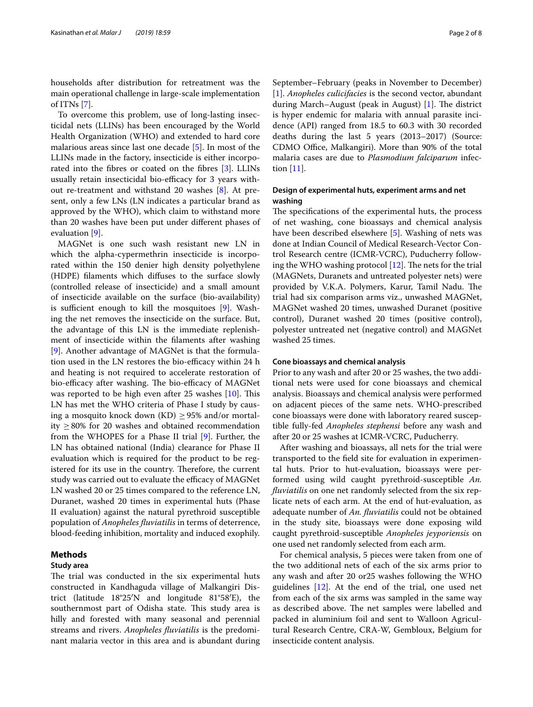households after distribution for retreatment was the main operational challenge in large-scale implementation of ITNs [[7\]](#page-7-6).

To overcome this problem, use of long-lasting insecticidal nets (LLINs) has been encouraged by the World Health Organization (WHO) and extended to hard core malarious areas since last one decade [[5\]](#page-7-4). In most of the LLINs made in the factory, insecticide is either incorporated into the fbres or coated on the fbres [[3](#page-7-2)]. LLINs usually retain insecticidal bio-efficacy for 3 years without re-treatment and withstand 20 washes [\[8\]](#page-7-7). At present, only a few LNs (LN indicates a particular brand as approved by the WHO), which claim to withstand more than 20 washes have been put under diferent phases of evaluation [[9\]](#page-7-8).

MAGNet is one such wash resistant new LN in which the alpha-cypermethrin insecticide is incorporated within the 150 denier high density polyethylene (HDPE) flaments which difuses to the surface slowly (controlled release of insecticide) and a small amount of insecticide available on the surface (bio-availability) is sufficient enough to kill the mosquitoes  $[9]$  $[9]$ . Washing the net removes the insecticide on the surface. But, the advantage of this LN is the immediate replenishment of insecticide within the flaments after washing [[9\]](#page-7-8). Another advantage of MAGNet is that the formulation used in the LN restores the bio-efficacy within 24 h and heating is not required to accelerate restoration of bio-efficacy after washing. The bio-efficacy of MAGNet was reported to be high even after  $25$  washes  $[10]$  $[10]$ . This LN has met the WHO criteria of Phase I study by causing a mosquito knock down  $(KD) \geq 95\%$  and/or mortality ≥80% for 20 washes and obtained recommendation from the WHOPES for a Phase II trial [\[9](#page-7-8)]. Further, the LN has obtained national (India) clearance for Phase II evaluation which is required for the product to be registered for its use in the country. Therefore, the current study was carried out to evaluate the efficacy of MAGNet LN washed 20 or 25 times compared to the reference LN, Duranet, washed 20 times in experimental huts (Phase II evaluation) against the natural pyrethroid susceptible population of *Anopheles fuviatilis* in terms of deterrence, blood-feeding inhibition, mortality and induced exophily.

# **Methods**

# **Study area**

The trial was conducted in the six experimental huts constructed in Kandhaguda village of Malkangiri District (latitude 18°25′N and longitude 81°58′E), the southernmost part of Odisha state. This study area is hilly and forested with many seasonal and perennial streams and rivers. *Anopheles fuviatilis* is the predominant malaria vector in this area and is abundant during September–February (peaks in November to December) [[1\]](#page-7-0). *Anopheles culicifacies* is the second vector, abundant during March–August (peak in August)  $[1]$ . The district is hyper endemic for malaria with annual parasite incidence (API) ranged from 18.5 to 60.3 with 30 recorded deaths during the last 5 years (2013–2017) (Source: CDMO Office, Malkangiri). More than 90% of the total malaria cases are due to *Plasmodium falciparum* infection [[11\]](#page-7-10).

# **Design of experimental huts, experiment arms and net washing**

The specifications of the experimental huts, the process of net washing, cone bioassays and chemical analysis have been described elsewhere [\[5](#page-7-4)]. Washing of nets was done at Indian Council of Medical Research-Vector Control Research centre (ICMR-VCRC), Puducherry following the WHO washing protocol  $[12]$  $[12]$ . The nets for the trial (MAGNets, Duranets and untreated polyester nets) were provided by V.K.A. Polymers, Karur, Tamil Nadu. The trial had six comparison arms viz., unwashed MAGNet, MAGNet washed 20 times, unwashed Duranet (positive control), Duranet washed 20 times (positive control), polyester untreated net (negative control) and MAGNet washed 25 times.

#### **Cone bioassays and chemical analysis**

Prior to any wash and after 20 or 25 washes, the two additional nets were used for cone bioassays and chemical analysis. Bioassays and chemical analysis were performed on adjacent pieces of the same nets. WHO-prescribed cone bioassays were done with laboratory reared susceptible fully-fed *Anopheles stephensi* before any wash and after 20 or 25 washes at ICMR-VCRC, Puducherry.

After washing and bioassays, all nets for the trial were transported to the feld site for evaluation in experimental huts. Prior to hut-evaluation, bioassays were performed using wild caught pyrethroid-susceptible *An. fuviatilis* on one net randomly selected from the six replicate nets of each arm. At the end of hut-evaluation, as adequate number of *An. fuviatilis* could not be obtained in the study site, bioassays were done exposing wild caught pyrethroid-susceptible *Anopheles jeyporiensis* on one used net randomly selected from each arm.

For chemical analysis, 5 pieces were taken from one of the two additional nets of each of the six arms prior to any wash and after 20 or25 washes following the WHO guidelines [\[12\]](#page-7-11). At the end of the trial, one used net from each of the six arms was sampled in the same way as described above. The net samples were labelled and packed in aluminium foil and sent to Walloon Agricultural Research Centre, CRA-W, Gembloux, Belgium for insecticide content analysis.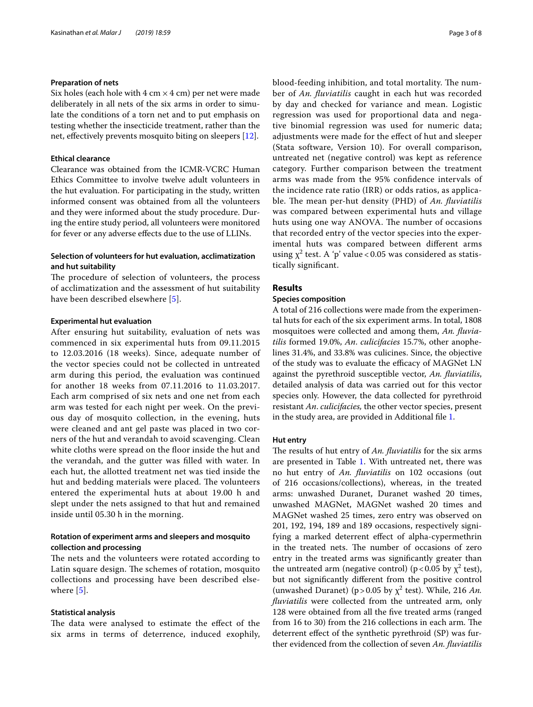# **Preparation of nets**

Six holes (each hole with  $4 \text{ cm} \times 4 \text{ cm}$ ) per net were made deliberately in all nets of the six arms in order to simulate the conditions of a torn net and to put emphasis on testing whether the insecticide treatment, rather than the net, efectively prevents mosquito biting on sleepers [[12\]](#page-7-11).

# **Ethical clearance**

Clearance was obtained from the ICMR-VCRC Human Ethics Committee to involve twelve adult volunteers in the hut evaluation. For participating in the study, written informed consent was obtained from all the volunteers and they were informed about the study procedure. During the entire study period, all volunteers were monitored for fever or any adverse efects due to the use of LLINs.

# **Selection of volunteers for hut evaluation, acclimatization and hut suitability**

The procedure of selection of volunteers, the process of acclimatization and the assessment of hut suitability have been described elsewhere [[5](#page-7-4)].

# **Experimental hut evaluation**

After ensuring hut suitability, evaluation of nets was commenced in six experimental huts from 09.11.2015 to 12.03.2016 (18 weeks). Since, adequate number of the vector species could not be collected in untreated arm during this period, the evaluation was continued for another 18 weeks from 07.11.2016 to 11.03.2017. Each arm comprised of six nets and one net from each arm was tested for each night per week. On the previous day of mosquito collection, in the evening, huts were cleaned and ant gel paste was placed in two corners of the hut and verandah to avoid scavenging. Clean white cloths were spread on the floor inside the hut and the verandah, and the gutter was flled with water. In each hut, the allotted treatment net was tied inside the hut and bedding materials were placed. The volunteers entered the experimental huts at about 19.00 h and slept under the nets assigned to that hut and remained inside until 05.30 h in the morning.

# **Rotation of experiment arms and sleepers and mosquito collection and processing**

The nets and the volunteers were rotated according to Latin square design. The schemes of rotation, mosquito collections and processing have been described elsewhere  $[5]$  $[5]$  $[5]$ .

# **Statistical analysis**

The data were analysed to estimate the effect of the six arms in terms of deterrence, induced exophily, blood-feeding inhibition, and total mortality. The number of *An. fuviatilis* caught in each hut was recorded by day and checked for variance and mean. Logistic regression was used for proportional data and negative binomial regression was used for numeric data; adjustments were made for the efect of hut and sleeper (Stata software, Version 10). For overall comparison, untreated net (negative control) was kept as reference category. Further comparison between the treatment arms was made from the 95% confdence intervals of the incidence rate ratio (IRR) or odds ratios, as applicable. The mean per-hut density (PHD) of *An. fluviatilis* was compared between experimental huts and village huts using one way ANOVA. The number of occasions that recorded entry of the vector species into the experimental huts was compared between diferent arms using  $\chi^2$  test. A 'p' value < 0.05 was considered as statistically signifcant.

# **Results**

# **Species composition**

A total of 216 collections were made from the experimental huts for each of the six experiment arms. In total, 1808 mosquitoes were collected and among them, *An. fuviatilis* formed 19.0%, *An*. *culicifacies* 15.7%, other anophelines 31.4%, and 33.8% was culicines. Since, the objective of the study was to evaluate the efficacy of MAGNet LN against the pyrethroid susceptible vector, *An. fuviatilis*, detailed analysis of data was carried out for this vector species only. However, the data collected for pyrethroid resistant *An*. *culicifacies,* the other vector species, present in the study area, are provided in Additional fle [1](#page-6-0).

# **Hut entry**

The results of hut entry of *An. fluviatilis* for the six arms are presented in Table [1.](#page-3-0) With untreated net, there was no hut entry of *An. fuviatilis* on 102 occasions (out of 216 occasions/collections), whereas, in the treated arms: unwashed Duranet, Duranet washed 20 times, unwashed MAGNet, MAGNet washed 20 times and MAGNet washed 25 times, zero entry was observed on 201, 192, 194, 189 and 189 occasions, respectively signifying a marked deterrent efect of alpha-cypermethrin in the treated nets. The number of occasions of zero entry in the treated arms was signifcantly greater than the untreated arm (negative control) ( $p < 0.05$  by  $\chi^2$  test), but not signifcantly diferent from the positive control (unwashed Duranet) ( $p > 0.05$  by  $\chi^2$  test). While, 216 *An*. *fuviatilis* were collected from the untreated arm, only 128 were obtained from all the fve treated arms (ranged from 16 to 30) from the 216 collections in each arm. The deterrent efect of the synthetic pyrethroid (SP) was further evidenced from the collection of seven *An. fuviatilis*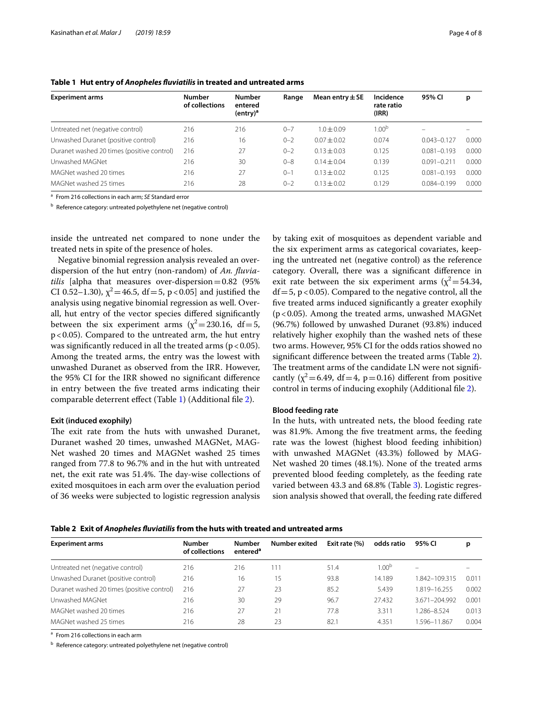| <b>Experiment arms</b>                     | <b>Number</b><br>of collections | <b>Number</b><br>entered<br>$(entry)^a$ | Range    | Mean entry $\pm$ SE | Incidence<br>rate ratio<br>(IRR) | 95% CI          | р     |
|--------------------------------------------|---------------------------------|-----------------------------------------|----------|---------------------|----------------------------------|-----------------|-------|
| Untreated net (negative control)           | 216                             | 216                                     | $0 - 7$  | $1.0 \pm 0.09$      | $1.00^{\mathrm{b}}$              |                 |       |
| Unwashed Duranet (positive control)        | 216                             | 16                                      | $0 - 2$  | $0.07 + 0.02$       | 0.074                            | $0.043 - 0.127$ | 0.000 |
| Duranet washed 20 times (positive control) | 216                             | 27                                      | $0 - 2$  | $0.13 + 0.03$       | 0.125                            | $0.081 - 0.193$ | 0.000 |
| Unwashed MAGNet                            | 216                             | 30                                      | $0 - 8$  | $0.14 \pm 0.04$     | 0.139                            | $0.091 - 0.21$  | 0.000 |
| MAGNet washed 20 times                     | 216                             | 27                                      | $0 - 1$  | $0.13 \pm 0.02$     | 0.125                            | $0.081 - 0.193$ | 0.000 |
| MAGNet washed 25 times                     | 216                             | 28                                      | $() - ?$ | $0.13 \pm 0.02$     | 0.129                            | $0.084 - 0.199$ | 0.000 |

<span id="page-3-0"></span>

|  |  |  |  | Table 1 Hut entry of Anopheles fluviatilis in treated and untreated arms |
|--|--|--|--|--------------------------------------------------------------------------|
|--|--|--|--|--------------------------------------------------------------------------|

<sup>a</sup> From 216 collections in each arm; *SE* Standard error

<sup>b</sup> Reference category: untreated polyethylene net (negative control)

inside the untreated net compared to none under the treated nets in spite of the presence of holes.

Negative binomial regression analysis revealed an overdispersion of the hut entry (non-random) of *An. fuviatilis* [alpha that measures over-dispersion=0.82 (95% CI 0.52–1.30),  $\chi^2$  = 46.5, df = 5, p < 0.05] and justified the analysis using negative binomial regression as well. Overall, hut entry of the vector species difered signifcantly between the six experiment arms ( $\chi^2$  = 230.16, df = 5, p<0.05). Compared to the untreated arm, the hut entry was significantly reduced in all the treated arms ( $p < 0.05$ ). Among the treated arms, the entry was the lowest with unwashed Duranet as observed from the IRR. However, the 95% CI for the IRR showed no signifcant diference in entry between the fve treated arms indicating their comparable deterrent efect (Table [1\)](#page-3-0) (Additional fle [2\)](#page-6-1).

#### **Exit (induced exophily)**

The exit rate from the huts with unwashed Duranet, Duranet washed 20 times, unwashed MAGNet, MAG-Net washed 20 times and MAGNet washed 25 times ranged from 77.8 to 96.7% and in the hut with untreated net, the exit rate was 51.4%. The day-wise collections of exited mosquitoes in each arm over the evaluation period of 36 weeks were subjected to logistic regression analysis by taking exit of mosquitoes as dependent variable and the six experiment arms as categorical covariates, keeping the untreated net (negative control) as the reference category. Overall, there was a signifcant diference in exit rate between the six experiment arms  $(\chi^2 = 54.34,$  $df = 5$ , p < 0.05). Compared to the negative control, all the fve treated arms induced signifcantly a greater exophily (p<0.05). Among the treated arms, unwashed MAGNet (96.7%) followed by unwashed Duranet (93.8%) induced relatively higher exophily than the washed nets of these two arms. However, 95% CI for the odds ratios showed no signifcant diference between the treated arms (Table [2](#page-3-1)). The treatment arms of the candidate LN were not significantly ( $\chi^2$  = 6.49, df = 4, p = 0.16) different from positive control in terms of inducing exophily (Additional fle [2\)](#page-6-1).

#### **Blood feeding rate**

In the huts, with untreated nets, the blood feeding rate was 81.9%. Among the fve treatment arms, the feeding rate was the lowest (highest blood feeding inhibition) with unwashed MAGNet (43.3%) followed by MAG-Net washed 20 times (48.1%). None of the treated arms prevented blood feeding completely, as the feeding rate varied between 43.3 and 68.8% (Table [3\)](#page-4-0). Logistic regression analysis showed that overall, the feeding rate difered

<span id="page-3-1"></span>**Table 2 Exit of** *Anopheles fuviatilis* **from the huts with treated and untreated arms**

| <b>Experiment arms</b>                     | <b>Number</b><br>of collections | <b>Number</b><br>entered <sup>a</sup> | Number exited | Exit rate (%) | odds ratio        | 95% CI        | р     |
|--------------------------------------------|---------------------------------|---------------------------------------|---------------|---------------|-------------------|---------------|-------|
| Untreated net (negative control)           | 216                             | 216                                   | 111           | 51.4          | 1.00 <sup>b</sup> |               |       |
| Unwashed Duranet (positive control)        | 216                             | 16                                    | 15            | 93.8          | 14.189            | 1.842-109.315 | 0.011 |
| Duranet washed 20 times (positive control) | 216                             | 27                                    | 23            | 85.2          | 5.439             | 1.819-16.255  | 0.002 |
| Unwashed MAGNet                            | 216                             | 30                                    | 29            | 96.7          | 27.432            | 3.671-204.992 | 0.001 |
| MAGNet washed 20 times                     | 216                             | 27                                    | 21            | 77.8          | 3.311             | 1.286-8.524   | 0.013 |
| MAGNet washed 25 times                     | 216                             | 28                                    | 23            | 82.1          | 4.351             | 1.596–11.867  | 0.004 |

<sup>a</sup> From 216 collections in each arm

<sup>b</sup> Reference category: untreated polyethylene net (negative control)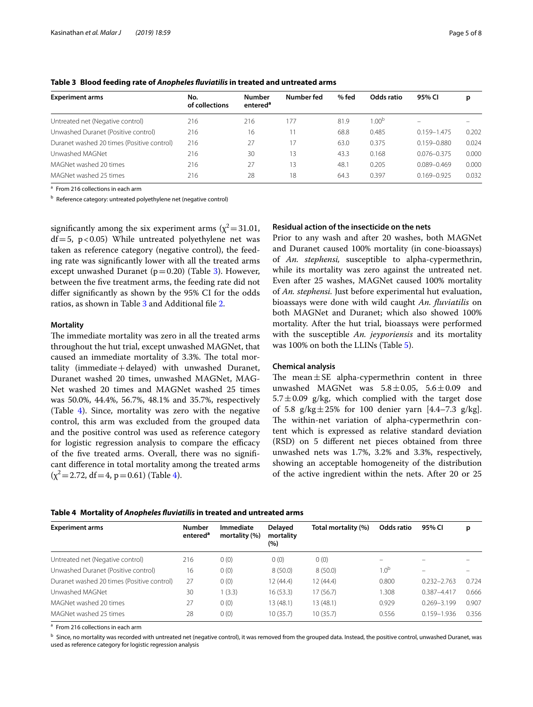| <b>Experiment arms</b>                     | No.<br>of collections | <b>Number</b><br>entered <sup>a</sup> | Number fed | $%$ fed | Odds ratio        | 95% CI                   | p     |
|--------------------------------------------|-----------------------|---------------------------------------|------------|---------|-------------------|--------------------------|-------|
| Untreated net (Negative control)           | 216                   | 216                                   | 177        | 81.9    | 1.00 <sup>b</sup> | $\overline{\phantom{0}}$ |       |
| Unwashed Duranet (Positive control)        | 216                   | 16                                    |            | 68.8    | 0.485             | $0.159 - 1.475$          | 0.202 |
| Duranet washed 20 times (Positive control) | 216                   | 27                                    | 17         | 63.0    | 0.375             | $0.159 - 0.880$          | 0.024 |
| Unwashed MAGNet                            | 216                   | 30                                    | 13         | 43.3    | 0.168             | $0.076 - 0.375$          | 0.000 |
| MAGNet washed 20 times                     | 216                   | 27                                    | 13         | 48.1    | 0.205             | $0.089 - 0.469$          | 0.000 |
| MAGNet washed 25 times                     | 216                   | 28                                    | 18         | 64.3    | 0.397             | $0.169 - 0.925$          | 0.032 |

<span id="page-4-0"></span>**Table 3 Blood feeding rate of** *Anopheles fuviatilis* **in treated and untreated arms**

<sup>a</sup> From 216 collections in each arm

<sup>b</sup> Reference category: untreated polyethylene net (negative control)

significantly among the six experiment arms ( $\chi^2$ =31.01,  $df = 5$ , p<0.05) While untreated polyethylene net was taken as reference category (negative control), the feeding rate was signifcantly lower with all the treated arms except unwashed Duranet ( $p=0.20$ ) (Table [3](#page-4-0)). However, between the fve treatment arms, the feeding rate did not difer signifcantly as shown by the 95% CI for the odds ratios, as shown in Table [3](#page-4-0) and Additional fle [2](#page-6-1).

# **Mortality**

The immediate mortality was zero in all the treated arms throughout the hut trial, except unwashed MAGNet, that caused an immediate mortality of 3.3%. The total mortality (immediate  $+$  delayed) with unwashed Duranet, Duranet washed 20 times, unwashed MAGNet, MAG-Net washed 20 times and MAGNet washed 25 times was 50.0%, 44.4%, 56.7%, 48.1% and 35.7%, respectively (Table [4\)](#page-4-1). Since, mortality was zero with the negative control, this arm was excluded from the grouped data and the positive control was used as reference category for logistic regression analysis to compare the efficacy of the fve treated arms. Overall, there was no signifcant diference in total mortality among the treated arms  $(x^2=2.72, df=4, p=0.61)$  (Table [4\)](#page-4-1).

# **Residual action of the insecticide on the nets**

Prior to any wash and after 20 washes, both MAGNet and Duranet caused 100% mortality (in cone-bioassays) of *An. stephensi,* susceptible to alpha-cypermethrin, while its mortality was zero against the untreated net. Even after 25 washes, MAGNet caused 100% mortality of *An. stephensi.* Just before experimental hut evaluation, bioassays were done with wild caught *An. fuviatilis* on both MAGNet and Duranet; which also showed 100% mortality. After the hut trial, bioassays were performed with the susceptible *An. jeyporiensis* and its mortality was 100% on both the LLINs (Table [5\)](#page-5-0).

# **Chemical analysis**

The mean $\pm$ SE alpha-cypermethrin content in three unwashed MAGNet was  $5.8 \pm 0.05$ ,  $5.6 \pm 0.09$  and  $5.7 \pm 0.09$  g/kg, which complied with the target dose of 5.8  $g/kg \pm 25\%$  for 100 denier yarn [4.4–7.3  $g/kg$ ]. The within-net variation of alpha-cypermethrin content which is expressed as relative standard deviation (RSD) on 5 diferent net pieces obtained from three unwashed nets was 1.7%, 3.2% and 3.3%, respectively, showing an acceptable homogeneity of the distribution of the active ingredient within the nets. After 20 or 25

<span id="page-4-1"></span>

|  |  |  | Table 4 Mortality of Anopheles fluviatilis in treated and untreated arms |
|--|--|--|--------------------------------------------------------------------------|
|--|--|--|--------------------------------------------------------------------------|

| <b>Experiment arms</b>                     | <b>Number</b><br>entered <sup>a</sup> | <b>Immediate</b><br>mortality (%) | Delayed<br>mortality<br>(%) | Total mortality (%) | Odds ratio               | 95% CI          | р                        |  |
|--------------------------------------------|---------------------------------------|-----------------------------------|-----------------------------|---------------------|--------------------------|-----------------|--------------------------|--|
| Untreated net (Negative control)           | 216                                   | 0(0)                              | 0(0)                        | 0(0)                | $\overline{\phantom{0}}$ |                 |                          |  |
| Unwashed Duranet (Positive control)        | 16                                    | 0(0)                              | 8(50.0)                     | 8(50.0)             | 1.0 <sup>b</sup>         |                 | $\overline{\phantom{m}}$ |  |
| Duranet washed 20 times (Positive control) | 27                                    | 0(0)                              | 12 (44.4)                   | 12(44.4)            | 0.800                    | $0.232 - 2.763$ | 0.724                    |  |
| Unwashed MAGNet                            | 30                                    | 1(3.3)                            | 16(53.3)                    | 17(56.7)            | 1.308                    | $0.387 - 4.417$ | 0.666                    |  |
| MAGNet washed 20 times                     | 27                                    | 0(0)                              | 13 (48.1)                   | 13 (48.1)           | 0.929                    | $0.269 - 3.199$ | 0.907                    |  |
| MAGNet washed 25 times                     | 28                                    | 0(0)                              | 10(35.7)                    | 10(35.7)            | 0.556                    | 0.159-1.936     | 0.356                    |  |

a From 216 collections in each arm

**b** Since, no mortality was recorded with untreated net (negative control), it was removed from the grouped data. Instead, the positive control, unwashed Duranet, was used as reference category for logistic regression analysis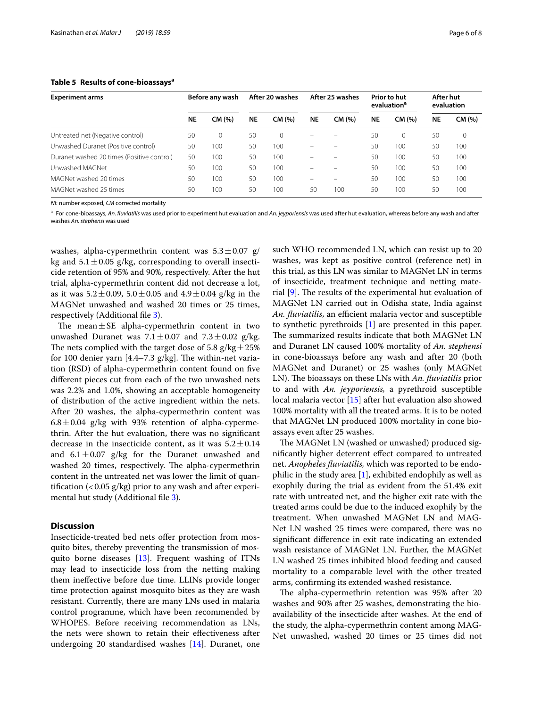| <b>Experiment arms</b>                     | Before any wash |          | After 20 washes |        | After 25 washes |        | Prior to hut<br>evaluation <sup>a</sup> |        | After hut<br>evaluation |        |
|--------------------------------------------|-----------------|----------|-----------------|--------|-----------------|--------|-----------------------------------------|--------|-------------------------|--------|
|                                            | <b>NE</b>       | CM (%)   | <b>NE</b>       | CM (%) | <b>NE</b>       | CM (%) | <b>NE</b>                               | CM (%) | <b>NE</b>               | CM (%) |
| Untreated net (Negative control)           | 50              | $\Omega$ | 50              | 0      |                 |        | 50                                      | 0      | 50                      | 0      |
| Unwashed Duranet (Positive control)        | 50              | 100      | 50              | 100    |                 |        | 50                                      | 100    | 50                      | 100    |
| Duranet washed 20 times (Positive control) | 50              | 100      | 50              | 100    |                 |        | 50                                      | 100    | 50                      | 100    |
| Unwashed MAGNet                            | 50              | 100      | 50              | 100    |                 |        | 50                                      | 100    | 50                      | 100    |
| MAGNet washed 20 times                     | 50              | 100      | 50              | 100    |                 |        | 50                                      | 100    | 50                      | 100    |
| MAGNet washed 25 times                     | 50              | 100      | 50              | 100    | 50              | 100    | 50                                      | 100    | 50                      | 100    |

# <span id="page-5-0"></span>**Table 5 Results of cone-bioassaysa**

*NE* number exposed, *CM* corrected mortality

<sup>a</sup> For cone-bioassays, *An. fuviatilis* was used prior to experiment hut evaluation and *An. jeyporiensis* was used after hut evaluation, whereas before any wash and after washes *An. stephensi* was used

washes, alpha-cypermethrin content was  $5.3 \pm 0.07$  g/ kg and  $5.1 \pm 0.05$  g/kg, corresponding to overall insecticide retention of 95% and 90%, respectively. After the hut trial, alpha-cypermethrin content did not decrease a lot, as it was  $5.2 \pm 0.09$ ,  $5.0 \pm 0.05$  and  $4.9 \pm 0.04$  g/kg in the MAGNet unwashed and washed 20 times or 25 times, respectively (Additional fle [3](#page-6-2)).

The mean $\pm$ SE alpha-cypermethrin content in two unwashed Duranet was  $7.1 \pm 0.07$  and  $7.3 \pm 0.02$  g/kg. The nets complied with the target dose of 5.8  $g/kg \pm 25\%$ for 100 denier yarn  $[4.4-7.3 \text{ g/kg}]$ . The within-net variation (RSD) of alpha-cypermethrin content found on fve diferent pieces cut from each of the two unwashed nets was 2.2% and 1.0%, showing an acceptable homogeneity of distribution of the active ingredient within the nets. After 20 washes, the alpha-cypermethrin content was  $6.8 \pm 0.04$  g/kg with 93% retention of alpha-cypermethrin. After the hut evaluation, there was no signifcant decrease in the insecticide content, as it was  $5.2 \pm 0.14$ and  $6.1 \pm 0.07$  g/kg for the Duranet unwashed and washed 20 times, respectively. The alpha-cypermethrin content in the untreated net was lower the limit of quantification  $\left($  < 0.05 g/kg) prior to any wash and after experi-mental hut study (Additional file [3\)](#page-6-2).

# **Discussion**

Insecticide-treated bed nets offer protection from mosquito bites, thereby preventing the transmission of mosquito borne diseases [[13](#page-7-12)]. Frequent washing of ITNs may lead to insecticide loss from the netting making them inefective before due time. LLINs provide longer time protection against mosquito bites as they are wash resistant. Currently, there are many LNs used in malaria control programme, which have been recommended by WHOPES. Before receiving recommendation as LNs, the nets were shown to retain their efectiveness after undergoing 20 standardised washes [\[14\]](#page-7-13). Duranet, one such WHO recommended LN, which can resist up to 20 washes, was kept as positive control (reference net) in this trial, as this LN was similar to MAGNet LN in terms of insecticide, treatment technique and netting material  $[9]$  $[9]$ . The results of the experimental hut evaluation of MAGNet LN carried out in Odisha state, India against *An. fluviatilis*, an efficient malaria vector and susceptible to synthetic pyrethroids [[1\]](#page-7-0) are presented in this paper. The summarized results indicate that both MAGNet LN and Duranet LN caused 100% mortality of *An. stephensi* in cone-bioassays before any wash and after 20 (both MAGNet and Duranet) or 25 washes (only MAGNet LN). The bioassays on these LNs with *An. fluviatilis* prior to and with *An. jeyporiensis,* a pyrethroid susceptible local malaria vector [[15\]](#page-7-14) after hut evaluation also showed 100% mortality with all the treated arms. It is to be noted that MAGNet LN produced 100% mortality in cone bioassays even after 25 washes.

The MAGNet LN (washed or unwashed) produced signifcantly higher deterrent efect compared to untreated net. *Anopheles fuviatilis,* which was reported to be endophilic in the study area  $[1]$  $[1]$ , exhibited endophily as well as exophily during the trial as evident from the 51.4% exit rate with untreated net, and the higher exit rate with the treated arms could be due to the induced exophily by the treatment. When unwashed MAGNet LN and MAG-Net LN washed 25 times were compared, there was no signifcant diference in exit rate indicating an extended wash resistance of MAGNet LN. Further, the MAGNet LN washed 25 times inhibited blood feeding and caused mortality to a comparable level with the other treated arms, confrming its extended washed resistance.

The alpha-cypermethrin retention was 95% after 20 washes and 90% after 25 washes, demonstrating the bioavailability of the insecticide after washes. At the end of the study, the alpha-cypermethrin content among MAG-Net unwashed, washed 20 times or 25 times did not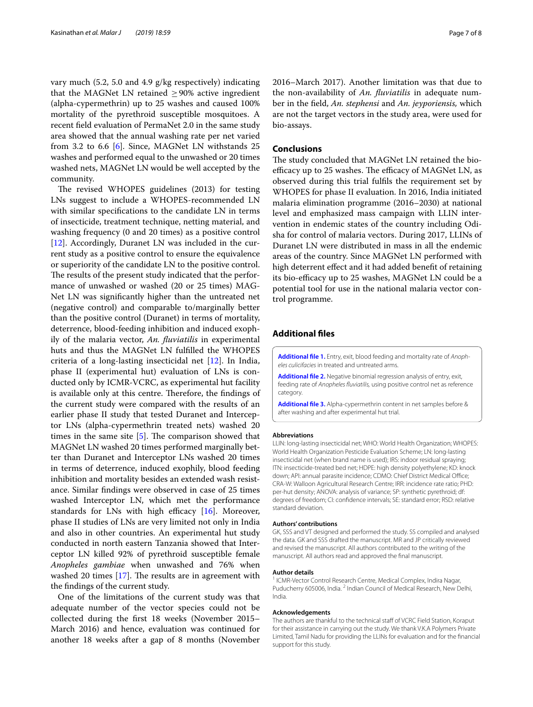vary much (5.2, 5.0 and 4.9 g/kg respectively) indicating that the MAGNet LN retained  $\geq$ 90% active ingredient (alpha-cypermethrin) up to 25 washes and caused 100% mortality of the pyrethroid susceptible mosquitoes. A recent feld evaluation of PermaNet 2.0 in the same study area showed that the annual washing rate per net varied from 3.2 to 6.6 [\[6](#page-7-5)]. Since, MAGNet LN withstands 25 washes and performed equal to the unwashed or 20 times washed nets, MAGNet LN would be well accepted by the community.

The revised WHOPES guidelines (2013) for testing LNs suggest to include a WHOPES-recommended LN with similar specifcations to the candidate LN in terms of insecticide, treatment technique, netting material, and washing frequency (0 and 20 times) as a positive control [[12\]](#page-7-11). Accordingly, Duranet LN was included in the current study as a positive control to ensure the equivalence or superiority of the candidate LN to the positive control. The results of the present study indicated that the performance of unwashed or washed (20 or 25 times) MAG-Net LN was signifcantly higher than the untreated net (negative control) and comparable to/marginally better than the positive control (Duranet) in terms of mortality, deterrence, blood-feeding inhibition and induced exophily of the malaria vector, *An. fuviatilis* in experimental huts and thus the MAGNet LN fulflled the WHOPES criteria of a long-lasting insecticidal net [[12\]](#page-7-11). In India, phase II (experimental hut) evaluation of LNs is conducted only by ICMR-VCRC, as experimental hut facility is available only at this centre. Therefore, the findings of the current study were compared with the results of an earlier phase II study that tested Duranet and Interceptor LNs (alpha-cypermethrin treated nets) washed 20 times in the same site  $[5]$  $[5]$ . The comparison showed that MAGNet LN washed 20 times performed marginally better than Duranet and Interceptor LNs washed 20 times in terms of deterrence, induced exophily, blood feeding inhibition and mortality besides an extended wash resistance. Similar fndings were observed in case of 25 times washed Interceptor LN, which met the performance standards for LNs with high efficacy  $[16]$  $[16]$ . Moreover, phase II studies of LNs are very limited not only in India and also in other countries. An experimental hut study conducted in north eastern Tanzania showed that Interceptor LN killed 92% of pyrethroid susceptible female *Anopheles gambiae* when unwashed and 76% when washed 20 times  $[17]$ . The results are in agreement with the fndings of the current study.

One of the limitations of the current study was that adequate number of the vector species could not be collected during the frst 18 weeks (November 2015– March 2016) and hence, evaluation was continued for another 18 weeks after a gap of 8 months (November

2016–March 2017). Another limitation was that due to the non-availability of *An. fuviatilis* in adequate number in the feld, *An. stephensi* and *An. jeyporiensis,* which are not the target vectors in the study area, were used for bio-assays.

# **Conclusions**

The study concluded that MAGNet LN retained the bioefficacy up to 25 washes. The efficacy of MAGNet LN, as observed during this trial fulfls the requirement set by WHOPES for phase II evaluation. In 2016, India initiated malaria elimination programme (2016–2030) at national level and emphasized mass campaign with LLIN intervention in endemic states of the country including Odisha for control of malaria vectors. During 2017, LLINs of Duranet LN were distributed in mass in all the endemic areas of the country. Since MAGNet LN performed with high deterrent effect and it had added benefit of retaining its bio-efficacy up to 25 washes, MAGNet LN could be a potential tool for use in the national malaria vector control programme.

# **Additional fles**

<span id="page-6-1"></span><span id="page-6-0"></span>**[Additional fle 1.](https://doi.org/10.1186/s12936-019-2692-3)** Entry, exit, blood feeding and mortality rate of *Anopheles culicifacies* in treated and untreated arms.

**[Additional fle 2.](https://doi.org/10.1186/s12936-019-2692-3)** Negative binomial regression analysis of entry, exit, feeding rate of *Anopheles fuviatilis,* using positive control net as reference category.

<span id="page-6-2"></span>**[Additional fle 3.](https://doi.org/10.1186/s12936-019-2692-3)** Alpha-cypermethrin content in net samples before & after washing and after experimental hut trial.

#### **Abbreviations**

LLIN: long-lasting insecticidal net; WHO: World Health Organization; WHOPES: World Health Organization Pesticide Evaluation Scheme; LN: long-lasting insecticidal net (when brand name is used); IRS: indoor residual spraying; ITN: insecticide-treated bed net; HDPE: high density polyethylene; KD: knock down; API: annual parasite incidence; CDMO: Chief District Medical Office; CRA-W: Walloon Agricultural Research Centre; IRR: incidence rate ratio; PHD: per-hut density; ANOVA: analysis of variance; SP: synthetic pyrethroid; df: degrees of freedom; CI: confdence intervals; SE: standard error; RSD: relative standard deviation.

#### **Authors' contributions**

GK, SSS and VT designed and performed the study. SS compiled and analysed the data. GK and SSS drafted the manuscript. MR and JP critically reviewed and revised the manuscript. All authors contributed to the writing of the manuscript. All authors read and approved the fnal manuscript.

#### **Author details**

<sup>1</sup> ICMR-Vector Control Research Centre, Medical Complex, Indira Nagar, Puducherry 605006, India. <sup>2</sup> Indian Council of Medical Research, New Delhi, India.

#### **Acknowledgements**

The authors are thankful to the technical staff of VCRC Field Station, Koraput for their assistance in carrying out the study. We thank V.K.A Polymers Private Limited, Tamil Nadu for providing the LLINs for evaluation and for the fnancial support for this study.